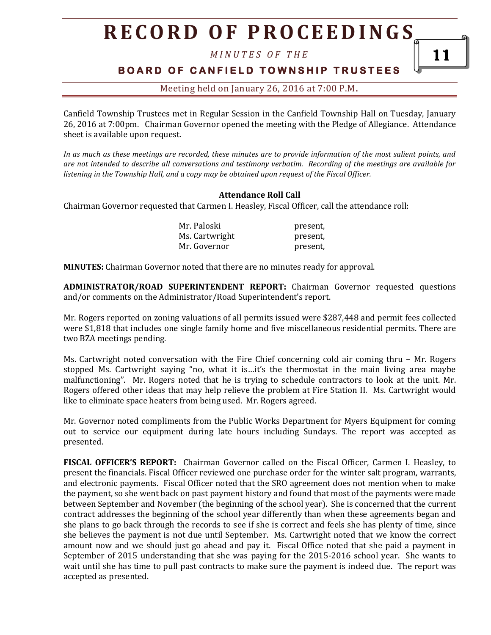# **R E C O R D O F P R O C E E D I N GS**

*M I N U T E S O F T H E* 

## **B O A R D O F C A N F I E L D T O W N S H I P T R U S T E E S**

11

Meeting held on January 26, 2016 at 7:00 P.M**.**

Canfield Township Trustees met in Regular Session in the Canfield Township Hall on Tuesday, January 26, 2016 at 7:00pm. Chairman Governor opened the meeting with the Pledge of Allegiance. Attendance sheet is available upon request.

*In as much as these meetings are recorded, these minutes are to provide information of the most salient points, and are not intended to describe all conversations and testimony verbatim. Recording of the meetings are available for listening in the Township Hall, and a copy may be obtained upon request of the Fiscal Officer.* 

#### **Attendance Roll Call**

Chairman Governor requested that Carmen I. Heasley, Fiscal Officer, call the attendance roll:

| Mr. Paloski    | present, |
|----------------|----------|
| Ms. Cartwright | present, |
| Mr. Governor   | present, |

**MINUTES:** Chairman Governor noted that there are no minutes ready for approval.

**ADMINISTRATOR/ROAD SUPERINTENDENT REPORT:** Chairman Governor requested questions and/or comments on the Administrator/Road Superintendent's report.

Mr. Rogers reported on zoning valuations of all permits issued were \$287,448 and permit fees collected were \$1,818 that includes one single family home and five miscellaneous residential permits. There are two BZA meetings pending.

Ms. Cartwright noted conversation with the Fire Chief concerning cold air coming thru – Mr. Rogers stopped Ms. Cartwright saying "no, what it is…it's the thermostat in the main living area maybe malfunctioning". Mr. Rogers noted that he is trying to schedule contractors to look at the unit. Mr. Rogers offered other ideas that may help relieve the problem at Fire Station II. Ms. Cartwright would like to eliminate space heaters from being used. Mr. Rogers agreed.

Mr. Governor noted compliments from the Public Works Department for Myers Equipment for coming out to service our equipment during late hours including Sundays. The report was accepted as presented.

**FISCAL OFFICER'S REPORT:** Chairman Governor called on the Fiscal Officer, Carmen I. Heasley, to present the financials. Fiscal Officer reviewed one purchase order for the winter salt program, warrants, and electronic payments. Fiscal Officer noted that the SRO agreement does not mention when to make the payment, so she went back on past payment history and found that most of the payments were made between September and November (the beginning of the school year). She is concerned that the current contract addresses the beginning of the school year differently than when these agreements began and she plans to go back through the records to see if she is correct and feels she has plenty of time, since she believes the payment is not due until September. Ms. Cartwright noted that we know the correct amount now and we should just go ahead and pay it. Fiscal Office noted that she paid a payment in September of 2015 understanding that she was paying for the 2015-2016 school year. She wants to wait until she has time to pull past contracts to make sure the payment is indeed due. The report was accepted as presented.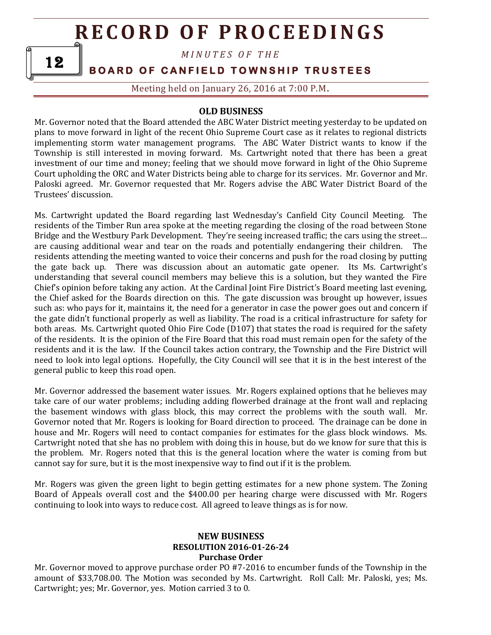# **R E C O R D OF P R O C E E D I N G S**

*M I N U T E S O F T H E* 

**BOARD OF CANFIELD TOWNSHIP TRUSTEES** 

Meeting held on January 26, 2016 at 7:00 P.M**.**

### **OLD BUSINESS**

Mr. Governor noted that the Board attended the ABC Water District meeting yesterday to be updated on plans to move forward in light of the recent Ohio Supreme Court case as it relates to regional districts implementing storm water management programs. The ABC Water District wants to know if the Township is still interested in moving forward. Ms. Cartwright noted that there has been a great investment of our time and money; feeling that we should move forward in light of the Ohio Supreme Court upholding the ORC and Water Districts being able to charge for its services. Mr. Governor and Mr. Paloski agreed. Mr. Governor requested that Mr. Rogers advise the ABC Water District Board of the Trustees' discussion.

Ms. Cartwright updated the Board regarding last Wednesday's Canfield City Council Meeting. The residents of the Timber Run area spoke at the meeting regarding the closing of the road between Stone Bridge and the Westbury Park Development. They're seeing increased traffic; the cars using the street… are causing additional wear and tear on the roads and potentially endangering their children. The residents attending the meeting wanted to voice their concerns and push for the road closing by putting the gate back up. There was discussion about an automatic gate opener. Its Ms. Cartwright's understanding that several council members may believe this is a solution, but they wanted the Fire Chief's opinion before taking any action. At the Cardinal Joint Fire District's Board meeting last evening, the Chief asked for the Boards direction on this. The gate discussion was brought up however, issues such as: who pays for it, maintains it, the need for a generator in case the power goes out and concern if the gate didn't functional properly as well as liability. The road is a critical infrastructure for safety for both areas. Ms. Cartwright quoted Ohio Fire Code (D107) that states the road is required for the safety of the residents. It is the opinion of the Fire Board that this road must remain open for the safety of the residents and it is the law. If the Council takes action contrary, the Township and the Fire District will need to look into legal options. Hopefully, the City Council will see that it is in the best interest of the general public to keep this road open.

Mr. Governor addressed the basement water issues. Mr. Rogers explained options that he believes may take care of our water problems; including adding flowerbed drainage at the front wall and replacing the basement windows with glass block, this may correct the problems with the south wall. Mr. Governor noted that Mr. Rogers is looking for Board direction to proceed. The drainage can be done in house and Mr. Rogers will need to contact companies for estimates for the glass block windows. Ms. Cartwright noted that she has no problem with doing this in house, but do we know for sure that this is the problem. Mr. Rogers noted that this is the general location where the water is coming from but cannot say for sure, but it is the most inexpensive way to find out if it is the problem.

Mr. Rogers was given the green light to begin getting estimates for a new phone system. The Zoning Board of Appeals overall cost and the \$400.00 per hearing charge were discussed with Mr. Rogers continuing to look into ways to reduce cost. All agreed to leave things as is for now.

### **NEW BUSINESS RESOLUTION 2016-01-26-24 Purchase Order**

Mr. Governor moved to approve purchase order PO #7-2016 to encumber funds of the Township in the amount of \$33,708.00. The Motion was seconded by Ms. Cartwright. Roll Call: Mr. Paloski, yes; Ms. Cartwright; yes; Mr. Governor, yes. Motion carried 3 to 0.

12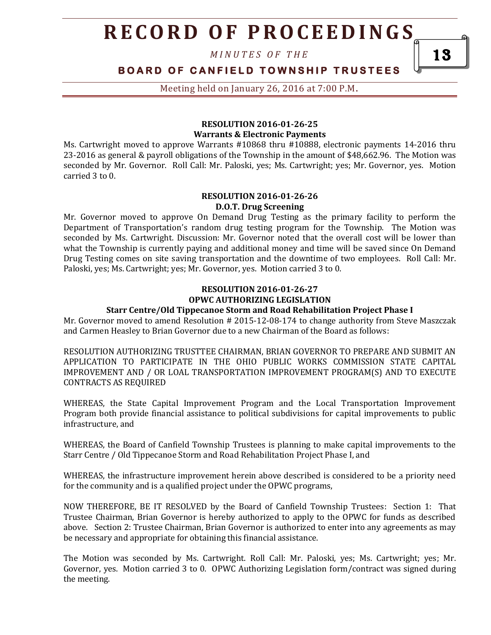# **R E C O R D O F P R O C E E D I N GS**

*M I N U T E S O F T H E* 

### **B O A R D O F C A N F I E L D T O W N S H I P T R U S T E E S**

Meeting held on January 26, 2016 at 7:00 P.M**.**

#### **RESOLUTION 2016-01-26-25 Warrants & Electronic Payments**

Ms. Cartwright moved to approve Warrants #10868 thru #10888, electronic payments 14-2016 thru 23-2016 as general & payroll obligations of the Township in the amount of \$48,662.96. The Motion was seconded by Mr. Governor. Roll Call: Mr. Paloski, yes; Ms. Cartwright; yes; Mr. Governor, yes. Motion carried 3 to 0.

#### **RESOLUTION 2016-01-26-26 D.O.T. Drug Screening**

Mr. Governor moved to approve On Demand Drug Testing as the primary facility to perform the Department of Transportation's random drug testing program for the Township. The Motion was seconded by Ms. Cartwright. Discussion: Mr. Governor noted that the overall cost will be lower than what the Township is currently paying and additional money and time will be saved since On Demand Drug Testing comes on site saving transportation and the downtime of two employees. Roll Call: Mr. Paloski, yes; Ms. Cartwright; yes; Mr. Governor, yes. Motion carried 3 to 0.

## **RESOLUTION 2016-01-26-27 OPWC AUTHORIZING LEGISLATION**

#### **Starr Centre/Old Tippecanoe Storm and Road Rehabilitation Project Phase I**

Mr. Governor moved to amend Resolution # 2015-12-08-174 to change authority from Steve Maszczak and Carmen Heasley to Brian Governor due to a new Chairman of the Board as follows:

RESOLUTION AUTHORIZING TRUSTTEE CHAIRMAN, BRIAN GOVERNOR TO PREPARE AND SUBMIT AN APPLICATION TO PARTICIPATE IN THE OHIO PUBLIC WORKS COMMISSION STATE CAPITAL IMPROVEMENT AND / OR LOAL TRANSPORTATION IMPROVEMENT PROGRAM(S) AND TO EXECUTE CONTRACTS AS REQUIRED

WHEREAS, the State Capital Improvement Program and the Local Transportation Improvement Program both provide financial assistance to political subdivisions for capital improvements to public infrastructure, and

WHEREAS, the Board of Canfield Township Trustees is planning to make capital improvements to the Starr Centre / Old Tippecanoe Storm and Road Rehabilitation Project Phase I, and

WHEREAS, the infrastructure improvement herein above described is considered to be a priority need for the community and is a qualified project under the OPWC programs,

NOW THEREFORE, BE IT RESOLVED by the Board of Canfield Township Trustees: Section 1: That Trustee Chairman, Brian Governor is hereby authorized to apply to the OPWC for funds as described above. Section 2: Trustee Chairman, Brian Governor is authorized to enter into any agreements as may be necessary and appropriate for obtaining this financial assistance.

The Motion was seconded by Ms. Cartwright. Roll Call: Mr. Paloski, yes; Ms. Cartwright; yes; Mr. Governor, yes. Motion carried 3 to 0. OPWC Authorizing Legislation form/contract was signed during the meeting.

13